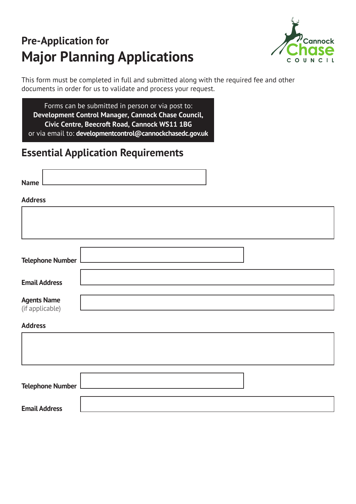# **Pre-Application for Major Planning Applications**



This form must be completed in full and submitted along with the required fee and other documents in order for us to validate and process your request.

Forms can be submitted in person or via post to: **Development Control Manager, Cannock Chase Council, Civic Centre, Beecroft Road, Cannock WS11 1BG**  or via email to: **developmentcontrol@cannockchasedc.gov.uk** 

# **Essential Application Requirements**

| <b>Name</b>                           |  |  |  |
|---------------------------------------|--|--|--|
| <b>Address</b>                        |  |  |  |
|                                       |  |  |  |
|                                       |  |  |  |
| <b>Telephone Number</b>               |  |  |  |
| <b>Email Address</b>                  |  |  |  |
| <b>Agents Name</b><br>(if applicable) |  |  |  |
| <b>Address</b>                        |  |  |  |
|                                       |  |  |  |
|                                       |  |  |  |
| <b>Telephone Number</b>               |  |  |  |
| <b>Email Address</b>                  |  |  |  |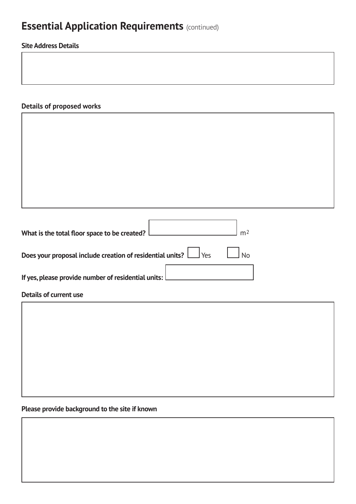# **Essential Application Requirements (continued)**

### **Site Address Details**

### **Details of proposed works**

| What is the total floor space to be created?                                   | m <sub>2</sub> |
|--------------------------------------------------------------------------------|----------------|
| Does your proposal include creation of residential units? $\Box$ Yes $\Box$ No |                |
| If yes, please provide number of residential units: $\lfloor$                  |                |

#### **Details of current use**

### **Please provide background to the site if known**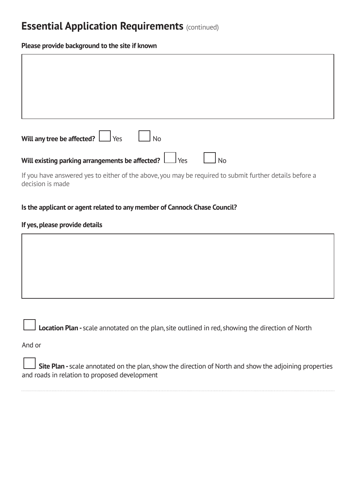## **Essential Application Requirements (continued)**

#### **Please provide background to the site if known**

| Will any tree be affected? $\Box$ Yes<br>  No                                                                               |
|-----------------------------------------------------------------------------------------------------------------------------|
| Will existing parking arrangements be affected? $\Box$ Yes<br><b>No</b>                                                     |
| If you have answered yes to either of the above, you may be required to submit further details before a<br>decision is made |

### **Is the applicant or agent related to any member of Cannock Chase Council?**

#### **If yes, please provide details**

**Location Plan -** scale annotated on the plan, site outlined in red, showing the direction of North

And or

 **Site Plan -** scale annotated on the plan, show the direction of North and show the adjoining properties and roads in relation to proposed development